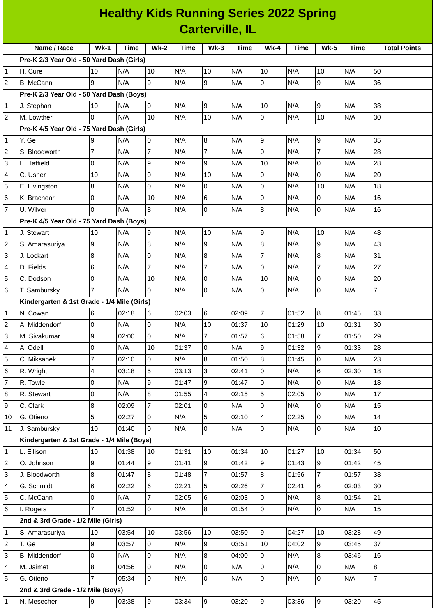## **Healthy Kids Running Series 2022 Spring Carterville, IL**

|                                               |                                                                                                                                                                                                                                                                                                                                                                                                                  |                                                                                                                                                                                                                                                                                  |                                                                                                                                                                                                                                                                                                                                                         |                                                                                                                                                                                                                                                                                                                                                                                                                                                                                        |                                                                                                                                                                                                                                                                                     |                                                                                                                                                                                                                                                                |                                                                                                                                                                                                                                                                                           | Time                                                                                                                                                                                                                                                                  |                                                                                                                                                                                                                                                                           |                                                                                                                                                                                                                                                                                                                                                                    | <b>Total Points</b>                                                                                                                                                                                                                                                                               |
|-----------------------------------------------|------------------------------------------------------------------------------------------------------------------------------------------------------------------------------------------------------------------------------------------------------------------------------------------------------------------------------------------------------------------------------------------------------------------|----------------------------------------------------------------------------------------------------------------------------------------------------------------------------------------------------------------------------------------------------------------------------------|---------------------------------------------------------------------------------------------------------------------------------------------------------------------------------------------------------------------------------------------------------------------------------------------------------------------------------------------------------|----------------------------------------------------------------------------------------------------------------------------------------------------------------------------------------------------------------------------------------------------------------------------------------------------------------------------------------------------------------------------------------------------------------------------------------------------------------------------------------|-------------------------------------------------------------------------------------------------------------------------------------------------------------------------------------------------------------------------------------------------------------------------------------|----------------------------------------------------------------------------------------------------------------------------------------------------------------------------------------------------------------------------------------------------------------|-------------------------------------------------------------------------------------------------------------------------------------------------------------------------------------------------------------------------------------------------------------------------------------------|-----------------------------------------------------------------------------------------------------------------------------------------------------------------------------------------------------------------------------------------------------------------------|---------------------------------------------------------------------------------------------------------------------------------------------------------------------------------------------------------------------------------------------------------------------------|--------------------------------------------------------------------------------------------------------------------------------------------------------------------------------------------------------------------------------------------------------------------------------------------------------------------------------------------------------------------|---------------------------------------------------------------------------------------------------------------------------------------------------------------------------------------------------------------------------------------------------------------------------------------------------|
|                                               |                                                                                                                                                                                                                                                                                                                                                                                                                  |                                                                                                                                                                                                                                                                                  |                                                                                                                                                                                                                                                                                                                                                         |                                                                                                                                                                                                                                                                                                                                                                                                                                                                                        |                                                                                                                                                                                                                                                                                     |                                                                                                                                                                                                                                                                |                                                                                                                                                                                                                                                                                           |                                                                                                                                                                                                                                                                       |                                                                                                                                                                                                                                                                           |                                                                                                                                                                                                                                                                                                                                                                    |                                                                                                                                                                                                                                                                                                   |
|                                               |                                                                                                                                                                                                                                                                                                                                                                                                                  |                                                                                                                                                                                                                                                                                  |                                                                                                                                                                                                                                                                                                                                                         |                                                                                                                                                                                                                                                                                                                                                                                                                                                                                        |                                                                                                                                                                                                                                                                                     |                                                                                                                                                                                                                                                                |                                                                                                                                                                                                                                                                                           |                                                                                                                                                                                                                                                                       |                                                                                                                                                                                                                                                                           |                                                                                                                                                                                                                                                                                                                                                                    | 50                                                                                                                                                                                                                                                                                                |
|                                               |                                                                                                                                                                                                                                                                                                                                                                                                                  |                                                                                                                                                                                                                                                                                  |                                                                                                                                                                                                                                                                                                                                                         |                                                                                                                                                                                                                                                                                                                                                                                                                                                                                        |                                                                                                                                                                                                                                                                                     |                                                                                                                                                                                                                                                                |                                                                                                                                                                                                                                                                                           |                                                                                                                                                                                                                                                                       |                                                                                                                                                                                                                                                                           |                                                                                                                                                                                                                                                                                                                                                                    | 36                                                                                                                                                                                                                                                                                                |
|                                               |                                                                                                                                                                                                                                                                                                                                                                                                                  |                                                                                                                                                                                                                                                                                  |                                                                                                                                                                                                                                                                                                                                                         |                                                                                                                                                                                                                                                                                                                                                                                                                                                                                        |                                                                                                                                                                                                                                                                                     |                                                                                                                                                                                                                                                                |                                                                                                                                                                                                                                                                                           |                                                                                                                                                                                                                                                                       |                                                                                                                                                                                                                                                                           |                                                                                                                                                                                                                                                                                                                                                                    |                                                                                                                                                                                                                                                                                                   |
|                                               |                                                                                                                                                                                                                                                                                                                                                                                                                  |                                                                                                                                                                                                                                                                                  |                                                                                                                                                                                                                                                                                                                                                         |                                                                                                                                                                                                                                                                                                                                                                                                                                                                                        |                                                                                                                                                                                                                                                                                     |                                                                                                                                                                                                                                                                |                                                                                                                                                                                                                                                                                           |                                                                                                                                                                                                                                                                       |                                                                                                                                                                                                                                                                           |                                                                                                                                                                                                                                                                                                                                                                    | 38                                                                                                                                                                                                                                                                                                |
|                                               |                                                                                                                                                                                                                                                                                                                                                                                                                  |                                                                                                                                                                                                                                                                                  |                                                                                                                                                                                                                                                                                                                                                         |                                                                                                                                                                                                                                                                                                                                                                                                                                                                                        |                                                                                                                                                                                                                                                                                     |                                                                                                                                                                                                                                                                |                                                                                                                                                                                                                                                                                           |                                                                                                                                                                                                                                                                       |                                                                                                                                                                                                                                                                           |                                                                                                                                                                                                                                                                                                                                                                    | 30                                                                                                                                                                                                                                                                                                |
|                                               |                                                                                                                                                                                                                                                                                                                                                                                                                  |                                                                                                                                                                                                                                                                                  |                                                                                                                                                                                                                                                                                                                                                         |                                                                                                                                                                                                                                                                                                                                                                                                                                                                                        |                                                                                                                                                                                                                                                                                     |                                                                                                                                                                                                                                                                |                                                                                                                                                                                                                                                                                           |                                                                                                                                                                                                                                                                       |                                                                                                                                                                                                                                                                           |                                                                                                                                                                                                                                                                                                                                                                    |                                                                                                                                                                                                                                                                                                   |
|                                               |                                                                                                                                                                                                                                                                                                                                                                                                                  |                                                                                                                                                                                                                                                                                  |                                                                                                                                                                                                                                                                                                                                                         |                                                                                                                                                                                                                                                                                                                                                                                                                                                                                        |                                                                                                                                                                                                                                                                                     |                                                                                                                                                                                                                                                                |                                                                                                                                                                                                                                                                                           |                                                                                                                                                                                                                                                                       |                                                                                                                                                                                                                                                                           |                                                                                                                                                                                                                                                                                                                                                                    | 35                                                                                                                                                                                                                                                                                                |
|                                               |                                                                                                                                                                                                                                                                                                                                                                                                                  |                                                                                                                                                                                                                                                                                  |                                                                                                                                                                                                                                                                                                                                                         |                                                                                                                                                                                                                                                                                                                                                                                                                                                                                        |                                                                                                                                                                                                                                                                                     |                                                                                                                                                                                                                                                                |                                                                                                                                                                                                                                                                                           |                                                                                                                                                                                                                                                                       |                                                                                                                                                                                                                                                                           |                                                                                                                                                                                                                                                                                                                                                                    | 28                                                                                                                                                                                                                                                                                                |
|                                               |                                                                                                                                                                                                                                                                                                                                                                                                                  |                                                                                                                                                                                                                                                                                  |                                                                                                                                                                                                                                                                                                                                                         |                                                                                                                                                                                                                                                                                                                                                                                                                                                                                        |                                                                                                                                                                                                                                                                                     |                                                                                                                                                                                                                                                                |                                                                                                                                                                                                                                                                                           |                                                                                                                                                                                                                                                                       |                                                                                                                                                                                                                                                                           |                                                                                                                                                                                                                                                                                                                                                                    | 28                                                                                                                                                                                                                                                                                                |
|                                               |                                                                                                                                                                                                                                                                                                                                                                                                                  |                                                                                                                                                                                                                                                                                  |                                                                                                                                                                                                                                                                                                                                                         |                                                                                                                                                                                                                                                                                                                                                                                                                                                                                        |                                                                                                                                                                                                                                                                                     |                                                                                                                                                                                                                                                                |                                                                                                                                                                                                                                                                                           |                                                                                                                                                                                                                                                                       |                                                                                                                                                                                                                                                                           |                                                                                                                                                                                                                                                                                                                                                                    | 20                                                                                                                                                                                                                                                                                                |
|                                               |                                                                                                                                                                                                                                                                                                                                                                                                                  |                                                                                                                                                                                                                                                                                  |                                                                                                                                                                                                                                                                                                                                                         |                                                                                                                                                                                                                                                                                                                                                                                                                                                                                        |                                                                                                                                                                                                                                                                                     |                                                                                                                                                                                                                                                                |                                                                                                                                                                                                                                                                                           |                                                                                                                                                                                                                                                                       |                                                                                                                                                                                                                                                                           |                                                                                                                                                                                                                                                                                                                                                                    | 18                                                                                                                                                                                                                                                                                                |
|                                               |                                                                                                                                                                                                                                                                                                                                                                                                                  |                                                                                                                                                                                                                                                                                  |                                                                                                                                                                                                                                                                                                                                                         |                                                                                                                                                                                                                                                                                                                                                                                                                                                                                        |                                                                                                                                                                                                                                                                                     |                                                                                                                                                                                                                                                                |                                                                                                                                                                                                                                                                                           |                                                                                                                                                                                                                                                                       |                                                                                                                                                                                                                                                                           |                                                                                                                                                                                                                                                                                                                                                                    | 16                                                                                                                                                                                                                                                                                                |
|                                               |                                                                                                                                                                                                                                                                                                                                                                                                                  |                                                                                                                                                                                                                                                                                  |                                                                                                                                                                                                                                                                                                                                                         |                                                                                                                                                                                                                                                                                                                                                                                                                                                                                        |                                                                                                                                                                                                                                                                                     |                                                                                                                                                                                                                                                                |                                                                                                                                                                                                                                                                                           |                                                                                                                                                                                                                                                                       |                                                                                                                                                                                                                                                                           |                                                                                                                                                                                                                                                                                                                                                                    | 16                                                                                                                                                                                                                                                                                                |
| Pre-K 4/5 Year Old - 75 Yard Dash (Boys)<br>1 |                                                                                                                                                                                                                                                                                                                                                                                                                  |                                                                                                                                                                                                                                                                                  |                                                                                                                                                                                                                                                                                                                                                         |                                                                                                                                                                                                                                                                                                                                                                                                                                                                                        |                                                                                                                                                                                                                                                                                     |                                                                                                                                                                                                                                                                |                                                                                                                                                                                                                                                                                           |                                                                                                                                                                                                                                                                       |                                                                                                                                                                                                                                                                           |                                                                                                                                                                                                                                                                                                                                                                    |                                                                                                                                                                                                                                                                                                   |
| J. Stewart                                    |                                                                                                                                                                                                                                                                                                                                                                                                                  |                                                                                                                                                                                                                                                                                  |                                                                                                                                                                                                                                                                                                                                                         |                                                                                                                                                                                                                                                                                                                                                                                                                                                                                        |                                                                                                                                                                                                                                                                                     |                                                                                                                                                                                                                                                                |                                                                                                                                                                                                                                                                                           |                                                                                                                                                                                                                                                                       |                                                                                                                                                                                                                                                                           |                                                                                                                                                                                                                                                                                                                                                                    | 48                                                                                                                                                                                                                                                                                                |
|                                               |                                                                                                                                                                                                                                                                                                                                                                                                                  |                                                                                                                                                                                                                                                                                  |                                                                                                                                                                                                                                                                                                                                                         |                                                                                                                                                                                                                                                                                                                                                                                                                                                                                        |                                                                                                                                                                                                                                                                                     |                                                                                                                                                                                                                                                                |                                                                                                                                                                                                                                                                                           |                                                                                                                                                                                                                                                                       |                                                                                                                                                                                                                                                                           |                                                                                                                                                                                                                                                                                                                                                                    | 43                                                                                                                                                                                                                                                                                                |
| J. Lockart                                    |                                                                                                                                                                                                                                                                                                                                                                                                                  |                                                                                                                                                                                                                                                                                  |                                                                                                                                                                                                                                                                                                                                                         |                                                                                                                                                                                                                                                                                                                                                                                                                                                                                        |                                                                                                                                                                                                                                                                                     |                                                                                                                                                                                                                                                                |                                                                                                                                                                                                                                                                                           |                                                                                                                                                                                                                                                                       |                                                                                                                                                                                                                                                                           |                                                                                                                                                                                                                                                                                                                                                                    | 31                                                                                                                                                                                                                                                                                                |
| D. Fields                                     |                                                                                                                                                                                                                                                                                                                                                                                                                  | N/A                                                                                                                                                                                                                                                                              |                                                                                                                                                                                                                                                                                                                                                         | N/A                                                                                                                                                                                                                                                                                                                                                                                                                                                                                    |                                                                                                                                                                                                                                                                                     | N/A                                                                                                                                                                                                                                                            | 0                                                                                                                                                                                                                                                                                         | N/A                                                                                                                                                                                                                                                                   |                                                                                                                                                                                                                                                                           | N/A                                                                                                                                                                                                                                                                                                                                                                | 27                                                                                                                                                                                                                                                                                                |
| C. Dodson                                     | $\Omega$                                                                                                                                                                                                                                                                                                                                                                                                         | N/A                                                                                                                                                                                                                                                                              |                                                                                                                                                                                                                                                                                                                                                         | N/A                                                                                                                                                                                                                                                                                                                                                                                                                                                                                    |                                                                                                                                                                                                                                                                                     |                                                                                                                                                                                                                                                                | 10                                                                                                                                                                                                                                                                                        |                                                                                                                                                                                                                                                                       |                                                                                                                                                                                                                                                                           |                                                                                                                                                                                                                                                                                                                                                                    | 20                                                                                                                                                                                                                                                                                                |
|                                               |                                                                                                                                                                                                                                                                                                                                                                                                                  |                                                                                                                                                                                                                                                                                  |                                                                                                                                                                                                                                                                                                                                                         |                                                                                                                                                                                                                                                                                                                                                                                                                                                                                        |                                                                                                                                                                                                                                                                                     |                                                                                                                                                                                                                                                                |                                                                                                                                                                                                                                                                                           |                                                                                                                                                                                                                                                                       |                                                                                                                                                                                                                                                                           |                                                                                                                                                                                                                                                                                                                                                                    | $\overline{7}$                                                                                                                                                                                                                                                                                    |
| Kindergarten & 1st Grade - 1/4 Mile (Girls)   |                                                                                                                                                                                                                                                                                                                                                                                                                  |                                                                                                                                                                                                                                                                                  |                                                                                                                                                                                                                                                                                                                                                         |                                                                                                                                                                                                                                                                                                                                                                                                                                                                                        |                                                                                                                                                                                                                                                                                     |                                                                                                                                                                                                                                                                |                                                                                                                                                                                                                                                                                           |                                                                                                                                                                                                                                                                       |                                                                                                                                                                                                                                                                           |                                                                                                                                                                                                                                                                                                                                                                    |                                                                                                                                                                                                                                                                                                   |
| N. Cowan                                      | 6                                                                                                                                                                                                                                                                                                                                                                                                                | 02:18                                                                                                                                                                                                                                                                            | 6                                                                                                                                                                                                                                                                                                                                                       |                                                                                                                                                                                                                                                                                                                                                                                                                                                                                        |                                                                                                                                                                                                                                                                                     |                                                                                                                                                                                                                                                                | $\overline{7}$                                                                                                                                                                                                                                                                            |                                                                                                                                                                                                                                                                       |                                                                                                                                                                                                                                                                           |                                                                                                                                                                                                                                                                                                                                                                    | 33                                                                                                                                                                                                                                                                                                |
| A. Middendorf                                 |                                                                                                                                                                                                                                                                                                                                                                                                                  |                                                                                                                                                                                                                                                                                  |                                                                                                                                                                                                                                                                                                                                                         |                                                                                                                                                                                                                                                                                                                                                                                                                                                                                        |                                                                                                                                                                                                                                                                                     |                                                                                                                                                                                                                                                                |                                                                                                                                                                                                                                                                                           |                                                                                                                                                                                                                                                                       |                                                                                                                                                                                                                                                                           |                                                                                                                                                                                                                                                                                                                                                                    | 30                                                                                                                                                                                                                                                                                                |
|                                               |                                                                                                                                                                                                                                                                                                                                                                                                                  |                                                                                                                                                                                                                                                                                  |                                                                                                                                                                                                                                                                                                                                                         |                                                                                                                                                                                                                                                                                                                                                                                                                                                                                        |                                                                                                                                                                                                                                                                                     |                                                                                                                                                                                                                                                                | 6                                                                                                                                                                                                                                                                                         |                                                                                                                                                                                                                                                                       |                                                                                                                                                                                                                                                                           |                                                                                                                                                                                                                                                                                                                                                                    | 29                                                                                                                                                                                                                                                                                                |
| A. Odell                                      |                                                                                                                                                                                                                                                                                                                                                                                                                  |                                                                                                                                                                                                                                                                                  |                                                                                                                                                                                                                                                                                                                                                         |                                                                                                                                                                                                                                                                                                                                                                                                                                                                                        |                                                                                                                                                                                                                                                                                     |                                                                                                                                                                                                                                                                |                                                                                                                                                                                                                                                                                           |                                                                                                                                                                                                                                                                       |                                                                                                                                                                                                                                                                           |                                                                                                                                                                                                                                                                                                                                                                    | 28                                                                                                                                                                                                                                                                                                |
|                                               |                                                                                                                                                                                                                                                                                                                                                                                                                  |                                                                                                                                                                                                                                                                                  |                                                                                                                                                                                                                                                                                                                                                         |                                                                                                                                                                                                                                                                                                                                                                                                                                                                                        |                                                                                                                                                                                                                                                                                     |                                                                                                                                                                                                                                                                |                                                                                                                                                                                                                                                                                           |                                                                                                                                                                                                                                                                       |                                                                                                                                                                                                                                                                           |                                                                                                                                                                                                                                                                                                                                                                    | 23                                                                                                                                                                                                                                                                                                |
|                                               |                                                                                                                                                                                                                                                                                                                                                                                                                  |                                                                                                                                                                                                                                                                                  |                                                                                                                                                                                                                                                                                                                                                         |                                                                                                                                                                                                                                                                                                                                                                                                                                                                                        |                                                                                                                                                                                                                                                                                     |                                                                                                                                                                                                                                                                |                                                                                                                                                                                                                                                                                           |                                                                                                                                                                                                                                                                       |                                                                                                                                                                                                                                                                           |                                                                                                                                                                                                                                                                                                                                                                    | 18                                                                                                                                                                                                                                                                                                |
|                                               |                                                                                                                                                                                                                                                                                                                                                                                                                  |                                                                                                                                                                                                                                                                                  |                                                                                                                                                                                                                                                                                                                                                         |                                                                                                                                                                                                                                                                                                                                                                                                                                                                                        |                                                                                                                                                                                                                                                                                     |                                                                                                                                                                                                                                                                |                                                                                                                                                                                                                                                                                           |                                                                                                                                                                                                                                                                       |                                                                                                                                                                                                                                                                           |                                                                                                                                                                                                                                                                                                                                                                    | 18                                                                                                                                                                                                                                                                                                |
|                                               |                                                                                                                                                                                                                                                                                                                                                                                                                  |                                                                                                                                                                                                                                                                                  |                                                                                                                                                                                                                                                                                                                                                         |                                                                                                                                                                                                                                                                                                                                                                                                                                                                                        |                                                                                                                                                                                                                                                                                     |                                                                                                                                                                                                                                                                |                                                                                                                                                                                                                                                                                           |                                                                                                                                                                                                                                                                       |                                                                                                                                                                                                                                                                           |                                                                                                                                                                                                                                                                                                                                                                    | 17                                                                                                                                                                                                                                                                                                |
|                                               |                                                                                                                                                                                                                                                                                                                                                                                                                  |                                                                                                                                                                                                                                                                                  |                                                                                                                                                                                                                                                                                                                                                         |                                                                                                                                                                                                                                                                                                                                                                                                                                                                                        |                                                                                                                                                                                                                                                                                     |                                                                                                                                                                                                                                                                |                                                                                                                                                                                                                                                                                           |                                                                                                                                                                                                                                                                       |                                                                                                                                                                                                                                                                           |                                                                                                                                                                                                                                                                                                                                                                    | 15                                                                                                                                                                                                                                                                                                |
|                                               |                                                                                                                                                                                                                                                                                                                                                                                                                  |                                                                                                                                                                                                                                                                                  |                                                                                                                                                                                                                                                                                                                                                         |                                                                                                                                                                                                                                                                                                                                                                                                                                                                                        |                                                                                                                                                                                                                                                                                     |                                                                                                                                                                                                                                                                |                                                                                                                                                                                                                                                                                           |                                                                                                                                                                                                                                                                       |                                                                                                                                                                                                                                                                           |                                                                                                                                                                                                                                                                                                                                                                    | 14                                                                                                                                                                                                                                                                                                |
|                                               |                                                                                                                                                                                                                                                                                                                                                                                                                  |                                                                                                                                                                                                                                                                                  |                                                                                                                                                                                                                                                                                                                                                         |                                                                                                                                                                                                                                                                                                                                                                                                                                                                                        |                                                                                                                                                                                                                                                                                     |                                                                                                                                                                                                                                                                |                                                                                                                                                                                                                                                                                           |                                                                                                                                                                                                                                                                       |                                                                                                                                                                                                                                                                           |                                                                                                                                                                                                                                                                                                                                                                    | 10                                                                                                                                                                                                                                                                                                |
|                                               |                                                                                                                                                                                                                                                                                                                                                                                                                  |                                                                                                                                                                                                                                                                                  |                                                                                                                                                                                                                                                                                                                                                         |                                                                                                                                                                                                                                                                                                                                                                                                                                                                                        |                                                                                                                                                                                                                                                                                     |                                                                                                                                                                                                                                                                |                                                                                                                                                                                                                                                                                           |                                                                                                                                                                                                                                                                       |                                                                                                                                                                                                                                                                           |                                                                                                                                                                                                                                                                                                                                                                    |                                                                                                                                                                                                                                                                                                   |
|                                               |                                                                                                                                                                                                                                                                                                                                                                                                                  |                                                                                                                                                                                                                                                                                  |                                                                                                                                                                                                                                                                                                                                                         |                                                                                                                                                                                                                                                                                                                                                                                                                                                                                        |                                                                                                                                                                                                                                                                                     |                                                                                                                                                                                                                                                                |                                                                                                                                                                                                                                                                                           |                                                                                                                                                                                                                                                                       |                                                                                                                                                                                                                                                                           |                                                                                                                                                                                                                                                                                                                                                                    | 50                                                                                                                                                                                                                                                                                                |
|                                               |                                                                                                                                                                                                                                                                                                                                                                                                                  |                                                                                                                                                                                                                                                                                  |                                                                                                                                                                                                                                                                                                                                                         |                                                                                                                                                                                                                                                                                                                                                                                                                                                                                        |                                                                                                                                                                                                                                                                                     |                                                                                                                                                                                                                                                                |                                                                                                                                                                                                                                                                                           |                                                                                                                                                                                                                                                                       |                                                                                                                                                                                                                                                                           |                                                                                                                                                                                                                                                                                                                                                                    | 45                                                                                                                                                                                                                                                                                                |
|                                               |                                                                                                                                                                                                                                                                                                                                                                                                                  |                                                                                                                                                                                                                                                                                  |                                                                                                                                                                                                                                                                                                                                                         |                                                                                                                                                                                                                                                                                                                                                                                                                                                                                        |                                                                                                                                                                                                                                                                                     |                                                                                                                                                                                                                                                                |                                                                                                                                                                                                                                                                                           |                                                                                                                                                                                                                                                                       |                                                                                                                                                                                                                                                                           |                                                                                                                                                                                                                                                                                                                                                                    | 38                                                                                                                                                                                                                                                                                                |
|                                               |                                                                                                                                                                                                                                                                                                                                                                                                                  |                                                                                                                                                                                                                                                                                  |                                                                                                                                                                                                                                                                                                                                                         |                                                                                                                                                                                                                                                                                                                                                                                                                                                                                        |                                                                                                                                                                                                                                                                                     |                                                                                                                                                                                                                                                                |                                                                                                                                                                                                                                                                                           |                                                                                                                                                                                                                                                                       |                                                                                                                                                                                                                                                                           |                                                                                                                                                                                                                                                                                                                                                                    | 30                                                                                                                                                                                                                                                                                                |
|                                               |                                                                                                                                                                                                                                                                                                                                                                                                                  |                                                                                                                                                                                                                                                                                  | 7                                                                                                                                                                                                                                                                                                                                                       |                                                                                                                                                                                                                                                                                                                                                                                                                                                                                        |                                                                                                                                                                                                                                                                                     |                                                                                                                                                                                                                                                                |                                                                                                                                                                                                                                                                                           |                                                                                                                                                                                                                                                                       |                                                                                                                                                                                                                                                                           |                                                                                                                                                                                                                                                                                                                                                                    | 21                                                                                                                                                                                                                                                                                                |
| I. Rogers                                     |                                                                                                                                                                                                                                                                                                                                                                                                                  |                                                                                                                                                                                                                                                                                  |                                                                                                                                                                                                                                                                                                                                                         |                                                                                                                                                                                                                                                                                                                                                                                                                                                                                        |                                                                                                                                                                                                                                                                                     |                                                                                                                                                                                                                                                                |                                                                                                                                                                                                                                                                                           |                                                                                                                                                                                                                                                                       |                                                                                                                                                                                                                                                                           |                                                                                                                                                                                                                                                                                                                                                                    | 15                                                                                                                                                                                                                                                                                                |
|                                               |                                                                                                                                                                                                                                                                                                                                                                                                                  |                                                                                                                                                                                                                                                                                  |                                                                                                                                                                                                                                                                                                                                                         |                                                                                                                                                                                                                                                                                                                                                                                                                                                                                        |                                                                                                                                                                                                                                                                                     |                                                                                                                                                                                                                                                                |                                                                                                                                                                                                                                                                                           |                                                                                                                                                                                                                                                                       |                                                                                                                                                                                                                                                                           |                                                                                                                                                                                                                                                                                                                                                                    |                                                                                                                                                                                                                                                                                                   |
| S. Amarasuriya                                |                                                                                                                                                                                                                                                                                                                                                                                                                  |                                                                                                                                                                                                                                                                                  | 10                                                                                                                                                                                                                                                                                                                                                      |                                                                                                                                                                                                                                                                                                                                                                                                                                                                                        | 10                                                                                                                                                                                                                                                                                  |                                                                                                                                                                                                                                                                |                                                                                                                                                                                                                                                                                           | 04:27                                                                                                                                                                                                                                                                 |                                                                                                                                                                                                                                                                           |                                                                                                                                                                                                                                                                                                                                                                    | 49                                                                                                                                                                                                                                                                                                |
| T. Ge                                         |                                                                                                                                                                                                                                                                                                                                                                                                                  | 03:57                                                                                                                                                                                                                                                                            | $\overline{0}$                                                                                                                                                                                                                                                                                                                                          | N/A                                                                                                                                                                                                                                                                                                                                                                                                                                                                                    | 9                                                                                                                                                                                                                                                                                   | 03:51                                                                                                                                                                                                                                                          | 10                                                                                                                                                                                                                                                                                        | 04:02                                                                                                                                                                                                                                                                 |                                                                                                                                                                                                                                                                           | 03:45                                                                                                                                                                                                                                                                                                                                                              | 37                                                                                                                                                                                                                                                                                                |
| B. Middendorf                                 | 0                                                                                                                                                                                                                                                                                                                                                                                                                | N/A                                                                                                                                                                                                                                                                              | 0                                                                                                                                                                                                                                                                                                                                                       | N/A                                                                                                                                                                                                                                                                                                                                                                                                                                                                                    | 8                                                                                                                                                                                                                                                                                   | 04:00                                                                                                                                                                                                                                                          | 0                                                                                                                                                                                                                                                                                         | N/A                                                                                                                                                                                                                                                                   | 8                                                                                                                                                                                                                                                                         |                                                                                                                                                                                                                                                                                                                                                                    | 16                                                                                                                                                                                                                                                                                                |
| M. Jaimet                                     |                                                                                                                                                                                                                                                                                                                                                                                                                  | 04:56                                                                                                                                                                                                                                                                            | 0                                                                                                                                                                                                                                                                                                                                                       | N/A                                                                                                                                                                                                                                                                                                                                                                                                                                                                                    |                                                                                                                                                                                                                                                                                     | N/A                                                                                                                                                                                                                                                            | 0                                                                                                                                                                                                                                                                                         |                                                                                                                                                                                                                                                                       | 0                                                                                                                                                                                                                                                                         | N/A                                                                                                                                                                                                                                                                                                                                                                | 8                                                                                                                                                                                                                                                                                                 |
| G. Otieno                                     | $\overline{7}$                                                                                                                                                                                                                                                                                                                                                                                                   | 05:34                                                                                                                                                                                                                                                                            | $\Omega$                                                                                                                                                                                                                                                                                                                                                | N/A                                                                                                                                                                                                                                                                                                                                                                                                                                                                                    |                                                                                                                                                                                                                                                                                     | N/A                                                                                                                                                                                                                                                            |                                                                                                                                                                                                                                                                                           | N/A                                                                                                                                                                                                                                                                   | 0                                                                                                                                                                                                                                                                         | N/A                                                                                                                                                                                                                                                                                                                                                                | $\overline{7}$                                                                                                                                                                                                                                                                                    |
|                                               |                                                                                                                                                                                                                                                                                                                                                                                                                  |                                                                                                                                                                                                                                                                                  |                                                                                                                                                                                                                                                                                                                                                         |                                                                                                                                                                                                                                                                                                                                                                                                                                                                                        |                                                                                                                                                                                                                                                                                     |                                                                                                                                                                                                                                                                |                                                                                                                                                                                                                                                                                           |                                                                                                                                                                                                                                                                       |                                                                                                                                                                                                                                                                           |                                                                                                                                                                                                                                                                                                                                                                    |                                                                                                                                                                                                                                                                                                   |
|                                               |                                                                                                                                                                                                                                                                                                                                                                                                                  |                                                                                                                                                                                                                                                                                  |                                                                                                                                                                                                                                                                                                                                                         |                                                                                                                                                                                                                                                                                                                                                                                                                                                                                        |                                                                                                                                                                                                                                                                                     |                                                                                                                                                                                                                                                                |                                                                                                                                                                                                                                                                                           |                                                                                                                                                                                                                                                                       |                                                                                                                                                                                                                                                                           |                                                                                                                                                                                                                                                                                                                                                                    | 45                                                                                                                                                                                                                                                                                                |
|                                               | Name / Race<br>H. Cure<br><b>B.</b> McCann<br>J. Stephan<br>M. Lowther<br>Y. Ge<br>S. Bloodworth<br>L. Hatfield<br>C. Usher<br>E. Livingston<br>K. Brachear<br>U. Wilver<br>S. Amarasuriya<br>T. Sambursky<br>M. Sivakumar<br>C. Miksanek<br>R. Wright<br>R. Towle<br>R. Stewart<br>C. Clark<br>G. Otieno<br>J. Sambursky<br>L. Ellison<br>O. Johnson<br>J. Bloodworth<br>G. Schmidt<br>C. McCann<br>N. Mesecher | $Wk-1$<br>10<br>9<br>10<br>$\Omega$<br>9<br>$\overline{7}$<br>0<br>10<br>8<br>0<br>$\Omega$<br>10<br>9<br>8<br>6<br>$\overline{7}$<br>O<br>9<br>O<br>$\overline{7}$<br>4<br>$\overline{0}$<br>0<br>8<br>5<br>10<br>10<br>9<br>8<br>6<br>0<br>$\overline{7}$<br>10<br>9<br>8<br>9 | <b>Time</b><br>N/A<br>N/A<br>N/A<br>N/A<br>N/A<br>N/A<br>N/A<br>N/A<br>N/A<br>N/A<br>N/A<br>N/A<br>N/A<br>N/A<br>N/A<br>N/A<br>02:00<br>N/A<br>02:10<br>03:18<br>N/A<br>N/A<br>02:09<br>02:27<br>01:40<br>01:38<br>01:44<br>01:47<br>02:22<br>N/A<br>01:52<br>2nd & 3rd Grade - 1/2 Mile (Girls)<br>03:54<br>2nd & 3rd Grade - 1/2 Mile (Boys)<br>03:38 | <b>Wk-2</b><br>Pre-K 2/3 Year Old - 50 Yard Dash (Girls)<br>10<br>9<br>Pre-K 2/3 Year Old - 50 Yard Dash (Boys)<br>0<br>10<br>Pre-K 4/5 Year Old - 75 Yard Dash (Girls)<br>0<br>$\overline{7}$<br>9<br>$\overline{0}$<br>0<br>10<br>8<br>9<br>8<br>0<br>$\overline{7}$<br>10<br>$\Omega$<br>$\overline{0}$<br>l0<br>10<br>$\pmb{0}$<br>5<br>9<br>8<br>$\overline{7}$<br>$\overline{0}$<br>l0<br>Kindergarten & 1st Grade - 1/4 Mile (Boys)<br>10<br>$\overline{9}$<br>8<br>6<br>0<br>9 | <b>Time</b><br>N/A<br>N/A<br>N/A<br>N/A<br>N/A<br>N/A<br>N/A<br>N/A<br>N/A<br>N/A<br>N/A<br>N/A<br>N/A<br>N/A<br>N/A<br>02:03<br>N/A<br>N/A<br>01:37<br>N/A<br>03:13<br>01:47<br>01:55<br>02:01<br>N/A<br>N/A<br>01:31<br>01:41<br>01:48<br>02:21<br>02:05<br>N/A<br>03:56<br>03:34 | <b>Wk-3</b><br>10<br>9<br>9<br>10<br>8<br>$\overline{7}$<br>9<br>10<br>0<br>6<br>0<br>10<br>9<br>8<br>$\overline{7}$<br>0<br>0<br>6<br>10<br>$\overline{7}$<br>0<br>8<br>3<br>9<br>4<br>0<br>5<br>0<br>10<br>9<br>$\overline{7}$<br>5<br>6<br>8<br>0<br>0<br>9 | Time<br>N/A<br>N/A<br>N/A<br>N/A<br>N/A<br>N/A<br>N/A<br>N/A<br>N/A<br>N/A<br>N/A<br>N/A<br>N/A<br>N/A<br>N/A<br>N/A<br>02:09<br>01:37<br>01:57<br>N/A<br>01:50<br>02:41<br>01:47<br>02:15<br>N/A<br>02:10<br>N/A<br>01:34<br>01:42<br>01:57<br>02:26<br>02:03<br>01:54<br>03:50<br>03:20 | $Wk-4$<br>10<br>$\overline{0}$<br>10<br>$\overline{0}$<br>9<br>0<br>10<br>0<br>0<br>0<br>8<br>9<br>8<br>7<br>0<br>10<br>9<br>$\bf{8}$<br>0<br>0<br>5<br>0<br>$\overline{4}$<br>$\overline{0}$<br>10<br>9<br>8<br>$\overline{7}$<br>0<br>0<br>9<br>$\overline{0}$<br>9 | N/A<br>N/A<br>N/A<br>N/A<br>N/A<br>N/A<br>N/A<br>N/A<br>N/A<br>N/A<br>N/A<br>N/A<br>N/A<br>N/A<br>N/A<br>N/A<br>01:52<br>01:29<br>01:58<br>01:32<br>01:45<br>N/A<br>N/A<br>02:05<br>N/A<br>02:25<br>N/A<br>01:27<br>01:43<br>01:56<br>02:41<br>N/A<br>N/A<br>N/A<br>03:36 | <b>Wk-5</b><br>10<br>$\overline{9}$<br>9<br>10<br>9<br>$\overline{7}$<br>0<br>0<br>10<br>0<br>0<br>10<br>9<br>8<br>$\overline{7}$<br>0<br>0<br>$8\,$<br>10<br>$\overline{7}$<br>9<br>0<br>6<br>$\overline{0}$<br>0<br>$\overline{0}$<br>0<br>$\overline{0}$<br>10<br>9<br>$\overline{7}$<br>6<br>8<br>$\overline{0}$<br>$10\,$<br>$\overline{9}$<br>$\overline{9}$ | <b>Time</b><br>N/A<br>N/A<br>N/A<br>N/A<br>N/A<br>N/A<br>N/A<br>N/A<br>N/A<br>N/A<br>N/A<br>N/A<br>N/A<br>N/A<br>N/A<br>N/A<br>01:45<br>01:31<br>01:50<br>01:33<br>N/A<br>02:30<br>N/A<br>N/A<br>N/A<br>N/A<br>N/A<br>01:34<br>01:42<br>01:57<br>02:03<br>01:54<br>N/A<br>03:28<br>03:46<br>03:20 |